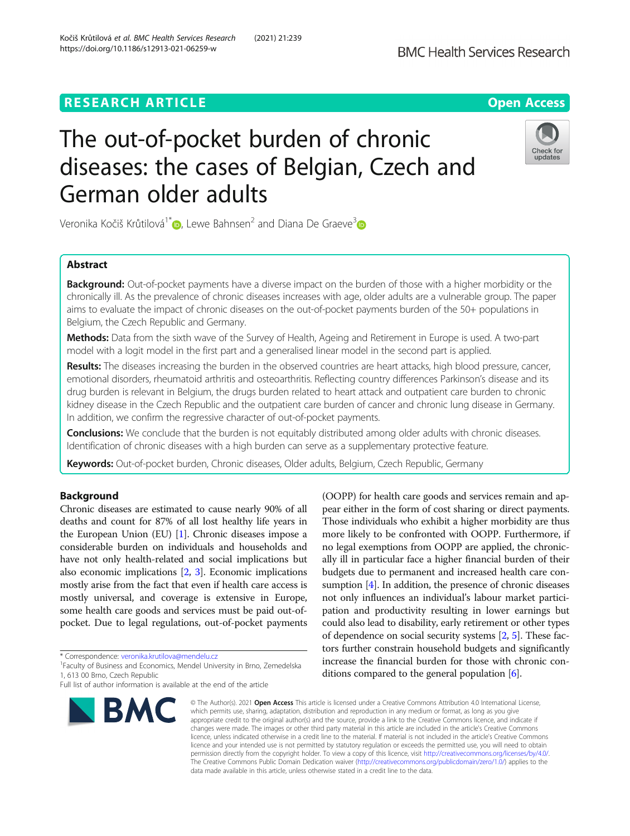https://doi.org/10.1186/s12913-021-06259-w

German older adults

# **RESEARCH ARTICLE Example 2014 12:30 The Contract of Contract ACCESS** The out-of-pocket burden of chronic diseases: the cases of Belgian, Czech and

Veronika Kočiš Krůtilová<sup>1\*</sup> , Lewe Bahnsen<sup>2</sup> and Diana De Graeve<sup>[3](https://orcid.org/0000-0002-3098-5352)</sup>

# Abstract

Background: Out-of-pocket payments have a diverse impact on the burden of those with a higher morbidity or the chronically ill. As the prevalence of chronic diseases increases with age, older adults are a vulnerable group. The paper aims to evaluate the impact of chronic diseases on the out-of-pocket payments burden of the 50+ populations in Belgium, the Czech Republic and Germany.

Methods: Data from the sixth wave of the Survey of Health, Ageing and Retirement in Europe is used. A two-part model with a logit model in the first part and a generalised linear model in the second part is applied.

Results: The diseases increasing the burden in the observed countries are heart attacks, high blood pressure, cancer, emotional disorders, rheumatoid arthritis and osteoarthritis. Reflecting country differences Parkinson's disease and its drug burden is relevant in Belgium, the drugs burden related to heart attack and outpatient care burden to chronic kidney disease in the Czech Republic and the outpatient care burden of cancer and chronic lung disease in Germany. In addition, we confirm the regressive character of out-of-pocket payments.

Conclusions: We conclude that the burden is not equitably distributed among older adults with chronic diseases. Identification of chronic diseases with a high burden can serve as a supplementary protective feature.

Keywords: Out-of-pocket burden, Chronic diseases, Older adults, Belgium, Czech Republic, Germany

# Background

Chronic diseases are estimated to cause nearly 90% of all deaths and count for 87% of all lost healthy life years in the European Union (EU)  $[1]$ . Chronic diseases impose a considerable burden on individuals and households and have not only health-related and social implications but also economic implications [[2,](#page-11-0) [3](#page-11-0)]. Economic implications mostly arise from the fact that even if health care access is mostly universal, and coverage is extensive in Europe, some health care goods and services must be paid out-ofpocket. Due to legal regulations, out-of-pocket payments

\* Correspondence: [veronika.krutilova@mendelu.cz](mailto:veronika.krutilova@mendelu.cz) <sup>1</sup>

<sup>1</sup> Faculty of Business and Economics, Mendel University in Brno, Zemedelska 1, 613 00 Brno, Czech Republic

# ditions compared to the general population  $[6]$  $[6]$  $[6]$ . © The Author(s), 2021 **Open Access** This article is licensed under a Creative Commons Attribution 4.0 International License,

which permits use, sharing, adaptation, distribution and reproduction in any medium or format, as long as you give appropriate credit to the original author(s) and the source, provide a link to the Creative Commons licence, and indicate if changes were made. The images or other third party material in this article are included in the article's Creative Commons licence, unless indicated otherwise in a credit line to the material. If material is not included in the article's Creative Commons licence and your intended use is not permitted by statutory regulation or exceeds the permitted use, you will need to obtain permission directly from the copyright holder. To view a copy of this licence, visit [http://creativecommons.org/licenses/by/4.0/.](http://creativecommons.org/licenses/by/4.0/) The Creative Commons Public Domain Dedication waiver [\(http://creativecommons.org/publicdomain/zero/1.0/](http://creativecommons.org/publicdomain/zero/1.0/)) applies to the data made available in this article, unless otherwise stated in a credit line to the data.

pear either in the form of cost sharing or direct payments. Those individuals who exhibit a higher morbidity are thus more likely to be confronted with OOPP. Furthermore, if no legal exemptions from OOPP are applied, the chronically ill in particular face a higher financial burden of their budgets due to permanent and increased health care consumption [[4](#page-11-0)]. In addition, the presence of chronic diseases not only influences an individual's labour market participation and productivity resulting in lower earnings but could also lead to disability, early retirement or other types of dependence on social security systems [\[2](#page-11-0), [5\]](#page-11-0). These factors further constrain household budgets and significantly increase the financial burden for those with chronic con-

(OOPP) for health care goods and services remain and ap-





Full list of author information is available at the end of the article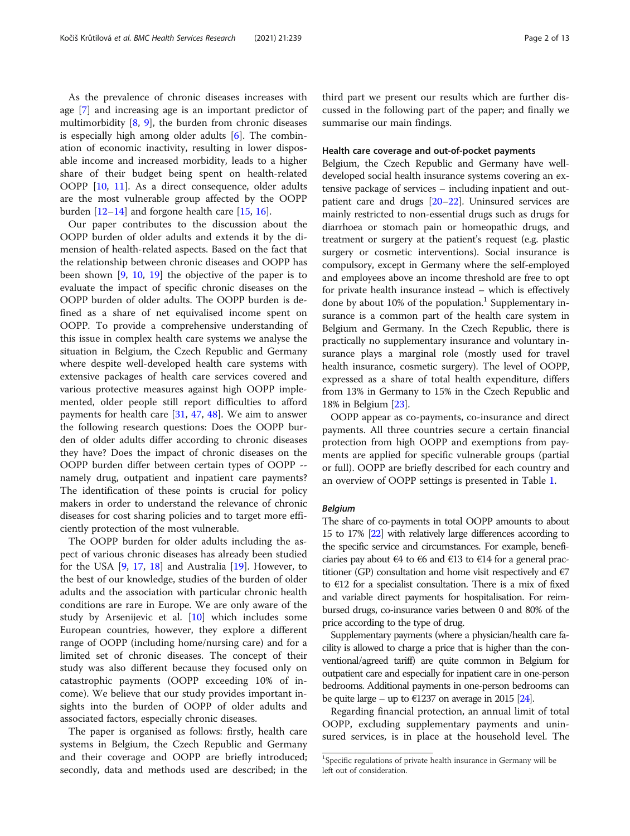As the prevalence of chronic diseases increases with age [\[7](#page-11-0)] and increasing age is an important predictor of multimorbidity [\[8](#page-11-0), [9](#page-12-0)], the burden from chronic diseases is especially high among older adults  $[6]$  $[6]$ . The combination of economic inactivity, resulting in lower disposable income and increased morbidity, leads to a higher share of their budget being spent on health-related OOPP [\[10,](#page-12-0) [11\]](#page-12-0). As a direct consequence, older adults are the most vulnerable group affected by the OOPP burden  $[12-14]$  $[12-14]$  $[12-14]$  $[12-14]$  and forgone health care  $[15, 16]$  $[15, 16]$  $[15, 16]$  $[15, 16]$ .

Our paper contributes to the discussion about the OOPP burden of older adults and extends it by the dimension of health-related aspects. Based on the fact that the relationship between chronic diseases and OOPP has been shown [[9,](#page-12-0) [10,](#page-12-0) [19](#page-12-0)] the objective of the paper is to evaluate the impact of specific chronic diseases on the OOPP burden of older adults. The OOPP burden is defined as a share of net equivalised income spent on OOPP. To provide a comprehensive understanding of this issue in complex health care systems we analyse the situation in Belgium, the Czech Republic and Germany where despite well-developed health care systems with extensive packages of health care services covered and various protective measures against high OOPP implemented, older people still report difficulties to afford payments for health care [[31](#page-12-0), [47,](#page-12-0) [48\]](#page-12-0). We aim to answer the following research questions: Does the OOPP burden of older adults differ according to chronic diseases they have? Does the impact of chronic diseases on the OOPP burden differ between certain types of OOPP - namely drug, outpatient and inpatient care payments? The identification of these points is crucial for policy makers in order to understand the relevance of chronic diseases for cost sharing policies and to target more efficiently protection of the most vulnerable.

The OOPP burden for older adults including the aspect of various chronic diseases has already been studied for the USA [[9,](#page-12-0) [17,](#page-12-0) [18](#page-12-0)] and Australia [[19\]](#page-12-0). However, to the best of our knowledge, studies of the burden of older adults and the association with particular chronic health conditions are rare in Europe. We are only aware of the study by Arsenijevic et al. [\[10\]](#page-12-0) which includes some European countries, however, they explore a different range of OOPP (including home/nursing care) and for a limited set of chronic diseases. The concept of their study was also different because they focused only on catastrophic payments (OOPP exceeding 10% of income). We believe that our study provides important insights into the burden of OOPP of older adults and associated factors, especially chronic diseases.

The paper is organised as follows: firstly, health care systems in Belgium, the Czech Republic and Germany and their coverage and OOPP are briefly introduced; secondly, data and methods used are described; in the

third part we present our results which are further discussed in the following part of the paper; and finally we summarise our main findings.

# Health care coverage and out-of-pocket payments

Belgium, the Czech Republic and Germany have welldeveloped social health insurance systems covering an extensive package of services – including inpatient and outpatient care and drugs [[20](#page-12-0)–[22\]](#page-12-0). Uninsured services are mainly restricted to non-essential drugs such as drugs for diarrhoea or stomach pain or homeopathic drugs, and treatment or surgery at the patient's request (e.g. plastic surgery or cosmetic interventions). Social insurance is compulsory, except in Germany where the self-employed and employees above an income threshold are free to opt for private health insurance instead – which is effectively done by about  $10\%$  of the population.<sup>1</sup> Supplementary insurance is a common part of the health care system in Belgium and Germany. In the Czech Republic, there is practically no supplementary insurance and voluntary insurance plays a marginal role (mostly used for travel health insurance, cosmetic surgery). The level of OOPP, expressed as a share of total health expenditure, differs from 13% in Germany to 15% in the Czech Republic and 18% in Belgium [[23\]](#page-12-0).

OOPP appear as co-payments, co-insurance and direct payments. All three countries secure a certain financial protection from high OOPP and exemptions from payments are applied for specific vulnerable groups (partial or full). OOPP are briefly described for each country and an overview of OOPP settings is presented in Table [1](#page-2-0).

# Belgium

The share of co-payments in total OOPP amounts to about 15 to 17% [\[22](#page-12-0)] with relatively large differences according to the specific service and circumstances. For example, beneficiaries pay about €4 to €6 and €13 to €14 for a general practitioner (GP) consultation and home visit respectively and  $\epsilon$ 7 to  $E12$  for a specialist consultation. There is a mix of fixed and variable direct payments for hospitalisation. For reimbursed drugs, co-insurance varies between 0 and 80% of the price according to the type of drug.

Supplementary payments (where a physician/health care facility is allowed to charge a price that is higher than the conventional/agreed tariff) are quite common in Belgium for outpatient care and especially for inpatient care in one-person bedrooms. Additional payments in one-person bedrooms can be quite large – up to  $\epsilon$ 1237 on average in 2015 [[24\]](#page-12-0).

Regarding financial protection, an annual limit of total OOPP, excluding supplementary payments and uninsured services, is in place at the household level. The

<sup>&</sup>lt;sup>1</sup>Specific regulations of private health insurance in Germany will be left out of consideration.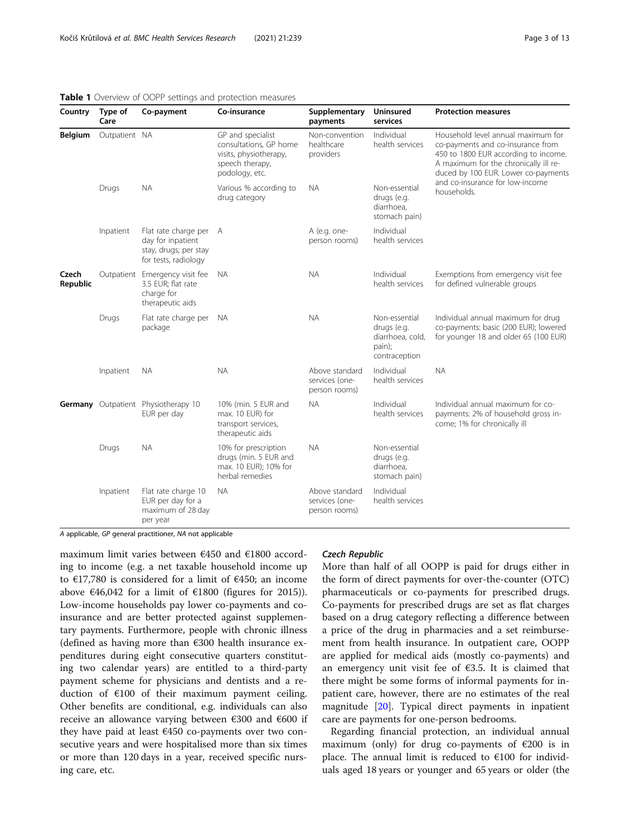| Country           | Type of<br>Care | Co-payment                                                                                 | Co-insurance                                                                                               | Supplementary<br>payments                         | Uninsured<br>services                                                       | <b>Protection measures</b>                                                                                                                                                                                                                        |  |  |
|-------------------|-----------------|--------------------------------------------------------------------------------------------|------------------------------------------------------------------------------------------------------------|---------------------------------------------------|-----------------------------------------------------------------------------|---------------------------------------------------------------------------------------------------------------------------------------------------------------------------------------------------------------------------------------------------|--|--|
| <b>Belgium</b>    | Outpatient NA   |                                                                                            | GP and specialist<br>consultations, GP home<br>visits, physiotherapy,<br>speech therapy,<br>podology, etc. | Non-convention<br>healthcare<br>providers         | Individual<br>health services                                               | Household level annual maximum for<br>co-payments and co-insurance from<br>450 to 1800 EUR according to income.<br>A maximum for the chronically ill re-<br>duced by 100 EUR. Lower co-payments<br>and co-insurance for low-income<br>households. |  |  |
|                   | Drugs           | <b>NA</b>                                                                                  | Various % according to<br>drug category                                                                    | <b>NA</b>                                         | Non-essential<br>drugs (e.g.<br>diarrhoea,<br>stomach pain)                 |                                                                                                                                                                                                                                                   |  |  |
|                   | Inpatient       | Flat rate charge per<br>day for inpatient<br>stay, drugs; per stay<br>for tests, radiology | A                                                                                                          | A (e.g. one-<br>person rooms)                     | Individual<br>health services                                               |                                                                                                                                                                                                                                                   |  |  |
| Czech<br>Republic |                 | Outpatient Emergency visit fee<br>3.5 EUR: flat rate<br>charge for<br>therapeutic aids     | NА                                                                                                         | <b>NA</b>                                         | Individual<br>health services                                               | Exemptions from emergency visit fee<br>for defined vulnerable groups                                                                                                                                                                              |  |  |
|                   | Drugs           | Flat rate charge per<br>package                                                            | N.                                                                                                         | <b>NA</b>                                         | Non-essential<br>drugs (e.g.<br>diarrhoea, cold,<br>pain);<br>contraception | Individual annual maximum for drug<br>co-payments: basic (200 EUR); lowered<br>for younger 18 and older 65 (100 EUR)                                                                                                                              |  |  |
|                   | Inpatient       | ΝA                                                                                         | <b>NA</b>                                                                                                  | Above standard<br>services (one-<br>person rooms) | Individual<br>health services                                               | <b>NA</b>                                                                                                                                                                                                                                         |  |  |
|                   |                 | Germany Outpatient Physiotherapy 10<br>EUR per day                                         | 10% (min. 5 EUR and<br>max. 10 EUR) for<br>transport services,<br>therapeutic aids                         | <b>NA</b>                                         | Individual<br>health services                                               | Individual annual maximum for co-<br>payments: 2% of household gross in-<br>come; 1% for chronically ill                                                                                                                                          |  |  |
|                   | Drugs           | <b>NA</b>                                                                                  | 10% for prescription<br>drugs (min. 5 EUR and<br>max. 10 EUR); 10% for<br>herbal remedies                  | <b>NA</b>                                         | Non-essential<br>drugs (e.g.<br>diarrhoea,<br>stomach pain)                 |                                                                                                                                                                                                                                                   |  |  |
|                   | Inpatient       | Flat rate charge 10<br>EUR per day for a<br>maximum of 28 day<br>per year                  | <b>NA</b>                                                                                                  | Above standard<br>services (one-<br>person rooms) | Individual<br>health services                                               |                                                                                                                                                                                                                                                   |  |  |

<span id="page-2-0"></span>Table 1 Overview of OOPP settings and protection measures

A applicable, GP general practitioner, NA not applicable

maximum limit varies between €450 and €1800 according to income (e.g. a net taxable household income up to  $\epsilon$ 17,780 is considered for a limit of  $\epsilon$ 450; an income above €46,042 for a limit of €1800 (figures for 2015)). Low-income households pay lower co-payments and coinsurance and are better protected against supplementary payments. Furthermore, people with chronic illness (defined as having more than  $\epsilon$ 300 health insurance expenditures during eight consecutive quarters constituting two calendar years) are entitled to a third-party payment scheme for physicians and dentists and a reduction of €100 of their maximum payment ceiling. Other benefits are conditional, e.g. individuals can also receive an allowance varying between €300 and €600 if they have paid at least €450 co-payments over two consecutive years and were hospitalised more than six times or more than 120 days in a year, received specific nursing care, etc.

# Czech Republic

More than half of all OOPP is paid for drugs either in the form of direct payments for over-the-counter (OTC) pharmaceuticals or co-payments for prescribed drugs. Co-payments for prescribed drugs are set as flat charges based on a drug category reflecting a difference between a price of the drug in pharmacies and a set reimbursement from health insurance. In outpatient care, OOPP are applied for medical aids (mostly co-payments) and an emergency unit visit fee of €3.5. It is claimed that there might be some forms of informal payments for inpatient care, however, there are no estimates of the real magnitude [\[20\]](#page-12-0). Typical direct payments in inpatient care are payments for one-person bedrooms.

Regarding financial protection, an individual annual maximum (only) for drug co-payments of  $E$ 200 is in place. The annual limit is reduced to  $\epsilon$ 100 for individuals aged 18 years or younger and 65 years or older (the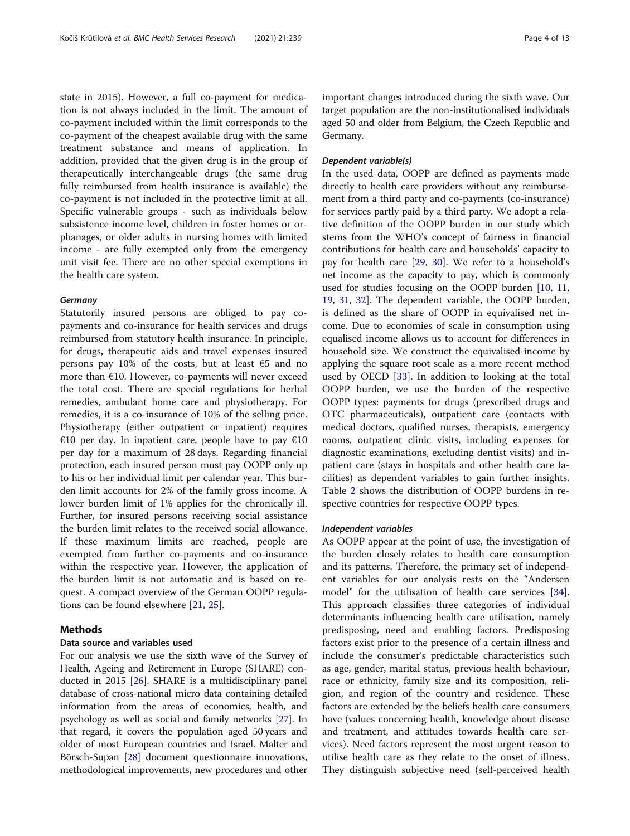state in 2015). However, a full co-payment for medication is not always included in the limit. The amount of co-payment included within the limit corresponds to the co-payment of the cheapest available drug with the same treatment substance and means of application. In addition, provided that the given drug is in the group of therapeutically interchangeable drugs (the same drug fully reimbursed from health insurance is available) the co-payment is not included in the protective limit at all. Specific vulnerable groups - such as individuals below subsistence income level, children in foster homes or orphanages, or older adults in nursing homes with limited income - are fully exempted only from the emergency unit visit fee. There are no other special exemptions in the health care system.

# **Germany**

Statutorily insured persons are obliged to pay copayments and co-insurance for health services and drugs reimbursed from statutory health insurance. In principle, for drugs, therapeutic aids and travel expenses insured persons pay 10% of the costs, but at least  $\epsilon$ 5 and no more than €10. However, co-payments will never exceed the total cost. There are special regulations for herbal remedies, ambulant home care and physiotherapy. For remedies, it is a co-insurance of 10% of the selling price. Physiotherapy (either outpatient or inpatient) requires €10 per day. In inpatient care, people have to pay  $€10$ per day for a maximum of 28 days. Regarding financial protection, each insured person must pay OOPP only up to his or her individual limit per calendar year. This burden limit accounts for 2% of the family gross income. A lower burden limit of 1% applies for the chronically ill. Further, for insured persons receiving social assistance the burden limit relates to the received social allowance. If these maximum limits are reached, people are exempted from further co-payments and co-insurance within the respective year. However, the application of the burden limit is not automatic and is based on request. A compact overview of the German OOPP regulations can be found elsewhere [\[21,](#page-12-0) [25\]](#page-12-0).

# Methods

### Data source and variables used

For our analysis we use the sixth wave of the Survey of Health, Ageing and Retirement in Europe (SHARE) conducted in 2015 [\[26\]](#page-12-0). SHARE is a multidisciplinary panel database of cross-national micro data containing detailed information from the areas of economics, health, and psychology as well as social and family networks [\[27](#page-12-0)]. In that regard, it covers the population aged 50 years and older of most European countries and Israel. Malter and Börsch-Supan [\[28](#page-12-0)] document questionnaire innovations, methodological improvements, new procedures and other important changes introduced during the sixth wave. Our target population are the non-institutionalised individuals aged 50 and older from Belgium, the Czech Republic and Germany.

# Dependent variable(s)

In the used data, OOPP are defined as payments made directly to health care providers without any reimbursement from a third party and co-payments (co-insurance) for services partly paid by a third party. We adopt a relative definition of the OOPP burden in our study which stems from the WHO's concept of fairness in financial contributions for health care and households' capacity to pay for health care [\[29](#page-12-0), [30](#page-12-0)]. We refer to a household's net income as the capacity to pay, which is commonly used for studies focusing on the OOPP burden [[10,](#page-12-0) [11](#page-12-0), [19,](#page-12-0) [31](#page-12-0), [32](#page-12-0)]. The dependent variable, the OOPP burden, is defined as the share of OOPP in equivalised net income. Due to economies of scale in consumption using equalised income allows us to account for differences in household size. We construct the equivalised income by applying the square root scale as a more recent method used by OECD [\[33](#page-12-0)]. In addition to looking at the total OOPP burden, we use the burden of the respective OOPP types: payments for drugs (prescribed drugs and OTC pharmaceuticals), outpatient care (contacts with medical doctors, qualified nurses, therapists, emergency rooms, outpatient clinic visits, including expenses for diagnostic examinations, excluding dentist visits) and inpatient care (stays in hospitals and other health care facilities) as dependent variables to gain further insights. Table [2](#page-4-0) shows the distribution of OOPP burdens in respective countries for respective OOPP types.

# Independent variables

As OOPP appear at the point of use, the investigation of the burden closely relates to health care consumption and its patterns. Therefore, the primary set of independent variables for our analysis rests on the "Andersen model" for the utilisation of health care services [\[34](#page-12-0)]. This approach classifies three categories of individual determinants influencing health care utilisation, namely predisposing, need and enabling factors. Predisposing factors exist prior to the presence of a certain illness and include the consumer's predictable characteristics such as age, gender, marital status, previous health behaviour, race or ethnicity, family size and its composition, religion, and region of the country and residence. These factors are extended by the beliefs health care consumers have (values concerning health, knowledge about disease and treatment, and attitudes towards health care services). Need factors represent the most urgent reason to utilise health care as they relate to the onset of illness. They distinguish subjective need (self-perceived health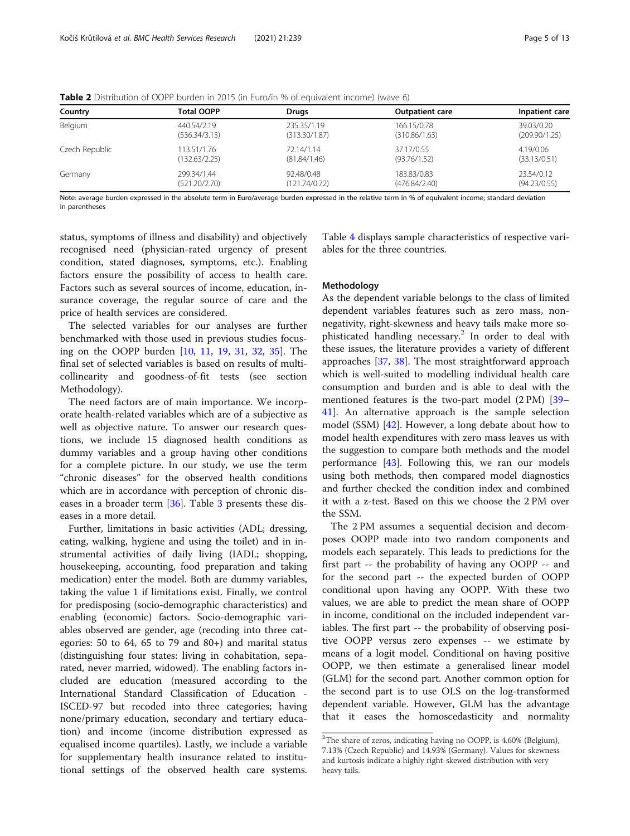| Country        | Total OOPP    | Drugs         | <b>Outpatient care</b> | Inpatient care |  |
|----------------|---------------|---------------|------------------------|----------------|--|
| Belgium        | 440.54/2.19   | 235.35/1.19   | 166.15/0.78            | 39.03/0.20     |  |
|                | (536.34/3.13) | (313.30/1.87) | (310.86/1.63)          | (209.90/1.25)  |  |
| Czech Republic | 113.51/1.76   | 72.14/1.14    | 37.17/0.55             | 4.19/0.06      |  |
|                | (132.63/2.25) | (81.84/1.46)  | (93.76/1.52)           | (33.13/0.51)   |  |
| Germany        | 299.34/1.44   | 92.48/0.48    | 183.83/0.83            | 23.54/0.12     |  |
|                | (521.20/2.70) | (121.74/0.72) | (476.84/2.40)          | (94.23/0.55)   |  |

<span id="page-4-0"></span>Table 2 Distribution of OOPP burden in 2015 (in Euro/in % of equivalent income) (wave 6)

Note: average burden expressed in the absolute term in Euro/average burden expressed in the relative term in % of equivalent income; standard deviation in parentheses

status, symptoms of illness and disability) and objectively recognised need (physician-rated urgency of present condition, stated diagnoses, symptoms, etc.). Enabling factors ensure the possibility of access to health care. Factors such as several sources of income, education, insurance coverage, the regular source of care and the price of health services are considered.

The selected variables for our analyses are further benchmarked with those used in previous studies focusing on the OOPP burden [\[10](#page-12-0), [11](#page-12-0), [19,](#page-12-0) [31,](#page-12-0) [32](#page-12-0), [35\]](#page-12-0). The final set of selected variables is based on results of multicollinearity and goodness-of-fit tests (see section Methodology).

The need factors are of main importance. We incorporate health-related variables which are of a subjective as well as objective nature. To answer our research questions, we include 15 diagnosed health conditions as dummy variables and a group having other conditions for a complete picture. In our study, we use the term "chronic diseases" for the observed health conditions which are in accordance with perception of chronic diseases in a broader term [[36\]](#page-12-0). Table [3](#page-5-0) presents these diseases in a more detail.

Further, limitations in basic activities (ADL; dressing, eating, walking, hygiene and using the toilet) and in instrumental activities of daily living (IADL; shopping, housekeeping, accounting, food preparation and taking medication) enter the model. Both are dummy variables, taking the value 1 if limitations exist. Finally, we control for predisposing (socio-demographic characteristics) and enabling (economic) factors. Socio-demographic variables observed are gender, age (recoding into three categories: 50 to 64, 65 to 79 and 80+) and marital status (distinguishing four states: living in cohabitation, separated, never married, widowed). The enabling factors included are education (measured according to the International Standard Classification of Education - ISCED-97 but recoded into three categories; having none/primary education, secondary and tertiary education) and income (income distribution expressed as equalised income quartiles). Lastly, we include a variable for supplementary health insurance related to institutional settings of the observed health care systems.

Table [4](#page-5-0) displays sample characteristics of respective variables for the three countries.

# **Methodology**

As the dependent variable belongs to the class of limited dependent variables features such as zero mass, nonnegativity, right-skewness and heavy tails make more sophisticated handling necessary.<sup>2</sup> In order to deal with these issues, the literature provides a variety of different approaches [\[37](#page-12-0), [38\]](#page-12-0). The most straightforward approach which is well-suited to modelling individual health care consumption and burden and is able to deal with the mentioned features is the two-part model (2 PM) [[39](#page-12-0)– [41\]](#page-12-0). An alternative approach is the sample selection model (SSM) [\[42\]](#page-12-0). However, a long debate about how to model health expenditures with zero mass leaves us with the suggestion to compare both methods and the model performance [\[43\]](#page-12-0). Following this, we ran our models using both methods, then compared model diagnostics and further checked the condition index and combined it with a z-test. Based on this we choose the 2 PM over the SSM.

The 2 PM assumes a sequential decision and decomposes OOPP made into two random components and models each separately. This leads to predictions for the first part -- the probability of having any OOPP -- and for the second part -- the expected burden of OOPP conditional upon having any OOPP. With these two values, we are able to predict the mean share of OOPP in income, conditional on the included independent variables. The first part -- the probability of observing positive OOPP versus zero expenses -- we estimate by means of a logit model. Conditional on having positive OOPP, we then estimate a generalised linear model (GLM) for the second part. Another common option for the second part is to use OLS on the log-transformed dependent variable. However, GLM has the advantage that it eases the homoscedasticity and normality

<sup>&</sup>lt;sup>2</sup>The share of zeros, indicating having no OOPP, is 4.60% (Belgium), 7.13% (Czech Republic) and 14.93% (Germany). Values for skewness and kurtosis indicate a highly right-skewed distribution with very heavy tails.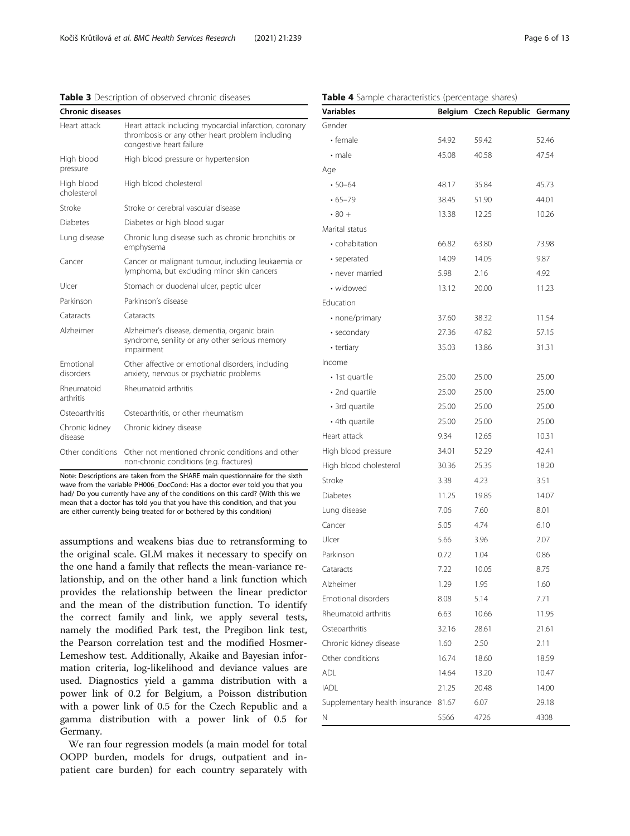# <span id="page-5-0"></span>Table 3 Description of observed chronic diseases

| <b>Chronic diseases</b>       |                                                                                                                                       |  |  |  |  |  |  |
|-------------------------------|---------------------------------------------------------------------------------------------------------------------------------------|--|--|--|--|--|--|
| Heart attack                  | Heart attack including myocardial infarction, coronary<br>thrombosis or any other heart problem including<br>congestive heart failure |  |  |  |  |  |  |
| High blood<br>pressure        | High blood pressure or hypertension                                                                                                   |  |  |  |  |  |  |
| High blood<br>cholesterol     | High blood cholesterol                                                                                                                |  |  |  |  |  |  |
| Stroke                        | Stroke or cerebral vascular disease                                                                                                   |  |  |  |  |  |  |
| <b>Diabetes</b>               | Diabetes or high blood sugar                                                                                                          |  |  |  |  |  |  |
| Lung disease                  | Chronic lung disease such as chronic bronchitis or<br>emphysema                                                                       |  |  |  |  |  |  |
| Cancer                        | Cancer or malignant tumour, including leukaemia or<br>lymphoma, but excluding minor skin cancers                                      |  |  |  |  |  |  |
| Ulcer                         | Stomach or duodenal ulcer, peptic ulcer                                                                                               |  |  |  |  |  |  |
| Parkinson                     | Parkinson's disease                                                                                                                   |  |  |  |  |  |  |
| Cataracts                     | Cataracts                                                                                                                             |  |  |  |  |  |  |
| Alzheimer                     | Alzheimer's disease, dementia, organic brain<br>syndrome, senility or any other serious memory<br>impairment                          |  |  |  |  |  |  |
| <b>Emotional</b><br>disorders | Other affective or emotional disorders, including<br>anxiety, nervous or psychiatric problems                                         |  |  |  |  |  |  |
| Rheumatoid<br>arthritis       | Rheumatoid arthritis                                                                                                                  |  |  |  |  |  |  |
| Osteoarthritis                | Osteoarthritis, or other rheumatism                                                                                                   |  |  |  |  |  |  |
| Chronic kidney<br>disease     | Chronic kidney disease                                                                                                                |  |  |  |  |  |  |
| Other conditions              | Other not mentioned chronic conditions and other<br>non-chronic conditions (e.g. fractures)                                           |  |  |  |  |  |  |

Note: Descriptions are taken from the SHARE main questionnaire for the sixth wave from the variable PH006\_DocCond: Has a doctor ever told you that you had/ Do you currently have any of the conditions on this card? (With this we mean that a doctor has told you that you have this condition, and that you are either currently being treated for or bothered by this condition)

assumptions and weakens bias due to retransforming to the original scale. GLM makes it necessary to specify on the one hand a family that reflects the mean-variance relationship, and on the other hand a link function which provides the relationship between the linear predictor and the mean of the distribution function. To identify the correct family and link, we apply several tests, namely the modified Park test, the Pregibon link test, the Pearson correlation test and the modified Hosmer-Lemeshow test. Additionally, Akaike and Bayesian information criteria, log-likelihood and deviance values are used. Diagnostics yield a gamma distribution with a power link of 0.2 for Belgium, a Poisson distribution with a power link of 0.5 for the Czech Republic and a gamma distribution with a power link of 0.5 for Germany.

We ran four regression models (a main model for total OOPP burden, models for drugs, outpatient and inpatient care burden) for each country separately with

| <b>Variables</b>               |       | Belgium Czech Republic | Germany |
|--------------------------------|-------|------------------------|---------|
| Gender                         |       |                        |         |
| • female                       | 54.92 | 59.42                  | 52.46   |
| • male                         | 45.08 | 40.58                  | 47.54   |
| Age                            |       |                        |         |
| $-50 - 64$                     | 48.17 | 35.84                  | 45.73   |
| $•65 - 79$                     | 38.45 | 51.90                  | 44.01   |
| $\cdot$ 80 +                   | 13.38 | 12.25                  | 10.26   |
| Marital status                 |       |                        |         |
| • cohabitation                 | 66.82 | 63.80                  | 73.98   |
| • seperated                    | 14.09 | 14.05                  | 9.87    |
| • never married                | 5.98  | 2.16                   | 4.92    |
| • widowed                      | 13.12 | 20.00                  | 11.23   |
| Education                      |       |                        |         |
| • none/primary                 | 37.60 | 38.32                  | 11.54   |
| • secondary                    | 27.36 | 47.82                  | 57.15   |
| • tertiary                     | 35.03 | 13.86                  | 31.31   |
| Income                         |       |                        |         |
| • 1st quartile                 | 25.00 | 25.00                  | 25.00   |
| • 2nd quartile                 | 25.00 | 25.00                  | 25.00   |
| • 3rd quartile                 | 25.00 | 25.00                  | 25.00   |
| • 4th quartile                 | 25.00 | 25.00                  | 25.00   |
| Heart attack                   | 9.34  | 12.65                  | 10.31   |
| High blood pressure            | 34.01 | 52.29                  | 42.41   |
| High blood cholesterol         | 30.36 | 25.35                  | 18.20   |
| Stroke                         | 3.38  | 4.23                   | 3.51    |
| Diabetes                       | 11.25 | 19.85                  | 14.07   |
| Lung disease                   | 7.06  | 7.60                   | 8.01    |
| Cancer                         | 5.05  | 4.74                   | 6.10    |
| Ulcer                          | 5.66  | 3.96                   | 2.07    |
| Parkinson                      | 0.72  | 1.04                   | 0.86    |
| Cataracts                      | 7.22  | 10.05                  | 8.75    |
| Alzheimer                      | 1.29  | 1.95                   | 1.60    |
| Emotional disorders            | 8.08  | 5.14                   | 7.71    |
| Rheumatoid arthritis           | 6.63  | 10.66                  | 11.95   |
| Osteoarthritis                 | 32.16 | 28.61                  | 21.61   |
| Chronic kidney disease         | 1.60  | 2.50                   | 2.11    |
| Other conditions               | 16.74 | 18.60                  | 18.59   |
| ADL                            | 14.64 | 13.20                  | 10.47   |
| <b>IADL</b>                    | 21.25 | 20.48                  | 14.00   |
| Supplementary health insurance | 81.67 | 6.07                   | 29.18   |
| Ν                              | 5566  | 4726                   | 4308    |

# Table 4 Sample characteristics (percentage shares)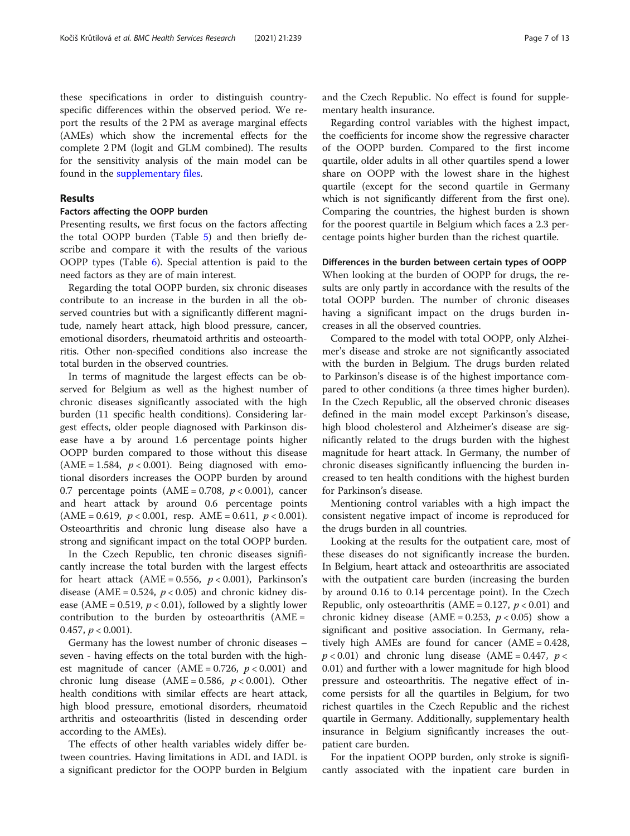these specifications in order to distinguish countryspecific differences within the observed period. We report the results of the 2 PM as average marginal effects (AMEs) which show the incremental effects for the complete 2 PM (logit and GLM combined). The results for the sensitivity analysis of the main model can be found in the [supplementary files.](#page-11-0)

# Results

# Factors affecting the OOPP burden

Presenting results, we first focus on the factors affecting the total OOPP burden (Table [5](#page-7-0)) and then briefly describe and compare it with the results of the various OOPP types (Table [6](#page-8-0)). Special attention is paid to the need factors as they are of main interest.

Regarding the total OOPP burden, six chronic diseases contribute to an increase in the burden in all the observed countries but with a significantly different magnitude, namely heart attack, high blood pressure, cancer, emotional disorders, rheumatoid arthritis and osteoarthritis. Other non-specified conditions also increase the total burden in the observed countries.

In terms of magnitude the largest effects can be observed for Belgium as well as the highest number of chronic diseases significantly associated with the high burden (11 specific health conditions). Considering largest effects, older people diagnosed with Parkinson disease have a by around 1.6 percentage points higher OOPP burden compared to those without this disease  $(AME = 1.584, p < 0.001)$ . Being diagnosed with emotional disorders increases the OOPP burden by around 0.7 percentage points  $(AME = 0.708, p < 0.001)$ , cancer and heart attack by around 0.6 percentage points  $(AME = 0.619, p < 0.001, resp. AME = 0.611, p < 0.001).$ Osteoarthritis and chronic lung disease also have a strong and significant impact on the total OOPP burden.

In the Czech Republic, ten chronic diseases significantly increase the total burden with the largest effects for heart attack  $(AME = 0.556, p < 0.001)$ , Parkinson's disease (AME =  $0.524$ ,  $p < 0.05$ ) and chronic kidney disease (AME = 0.519,  $p < 0.01$ ), followed by a slightly lower contribution to the burden by osteoarthritis (AME = 0.457,  $p < 0.001$ ).

Germany has the lowest number of chronic diseases – seven - having effects on the total burden with the highest magnitude of cancer (AME =  $0.726$ ,  $p < 0.001$ ) and chronic lung disease  $(AME = 0.586, p < 0.001)$ . Other health conditions with similar effects are heart attack, high blood pressure, emotional disorders, rheumatoid arthritis and osteoarthritis (listed in descending order according to the AMEs).

The effects of other health variables widely differ between countries. Having limitations in ADL and IADL is a significant predictor for the OOPP burden in Belgium and the Czech Republic. No effect is found for supplementary health insurance.

Regarding control variables with the highest impact, the coefficients for income show the regressive character of the OOPP burden. Compared to the first income quartile, older adults in all other quartiles spend a lower share on OOPP with the lowest share in the highest quartile (except for the second quartile in Germany which is not significantly different from the first one). Comparing the countries, the highest burden is shown for the poorest quartile in Belgium which faces a 2.3 percentage points higher burden than the richest quartile.

# Differences in the burden between certain types of OOPP

When looking at the burden of OOPP for drugs, the results are only partly in accordance with the results of the total OOPP burden. The number of chronic diseases having a significant impact on the drugs burden increases in all the observed countries.

Compared to the model with total OOPP, only Alzheimer's disease and stroke are not significantly associated with the burden in Belgium. The drugs burden related to Parkinson's disease is of the highest importance compared to other conditions (a three times higher burden). In the Czech Republic, all the observed chronic diseases defined in the main model except Parkinson's disease, high blood cholesterol and Alzheimer's disease are significantly related to the drugs burden with the highest magnitude for heart attack. In Germany, the number of chronic diseases significantly influencing the burden increased to ten health conditions with the highest burden for Parkinson's disease.

Mentioning control variables with a high impact the consistent negative impact of income is reproduced for the drugs burden in all countries.

Looking at the results for the outpatient care, most of these diseases do not significantly increase the burden. In Belgium, heart attack and osteoarthritis are associated with the outpatient care burden (increasing the burden by around 0.16 to 0.14 percentage point). In the Czech Republic, only osteoarthritis (AME = 0.127,  $p < 0.01$ ) and chronic kidney disease (AME = 0.253,  $p < 0.05$ ) show a significant and positive association. In Germany, relatively high AMEs are found for cancer (AME = 0.428,  $p < 0.01$ ) and chronic lung disease (AME = 0.447,  $p <$ 0.01) and further with a lower magnitude for high blood pressure and osteoarthritis. The negative effect of income persists for all the quartiles in Belgium, for two richest quartiles in the Czech Republic and the richest quartile in Germany. Additionally, supplementary health insurance in Belgium significantly increases the outpatient care burden.

For the inpatient OOPP burden, only stroke is significantly associated with the inpatient care burden in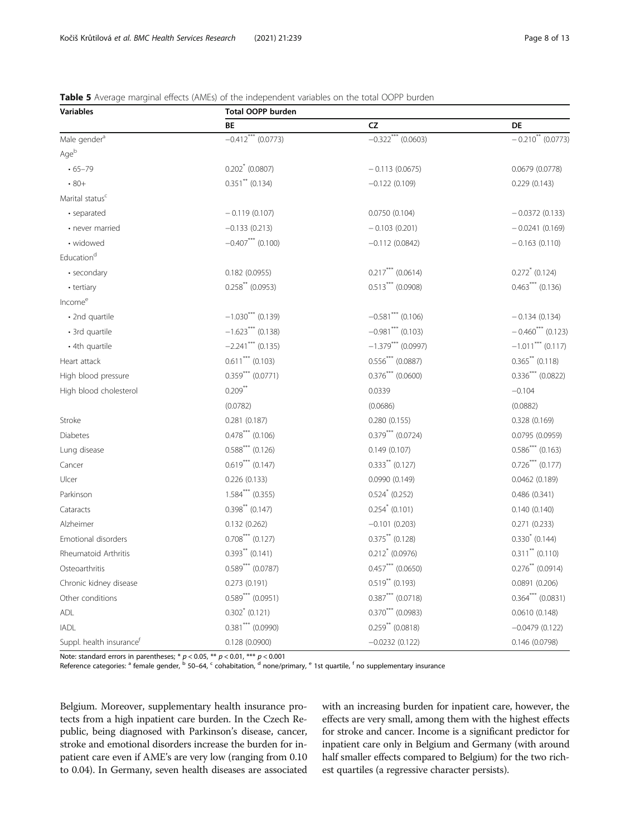# Variables Total OOPP burden BE CZ DE Male gender<sup>a</sup> −0.412<sup>\*\*\*</sup> (0.0773) −0.322<sup>\*\*\*</sup> (0.0603) −0.322<sup>\*\*\*</sup> (0.0603) −0.310<sup>\*\*</sup> (0.0773) Ageb • 65–79 0.202\* (0.0807) − 0.113 (0.0675) 0.0679 (0.0778) • 80+ 0.351\*\* (0.134) −0.122 (0.109) 0.229 (0.143) Marital status<sup>c</sup> • separated − 0.119 (0.107) 0.0750 (0.104) − 0.0372 (0.133) • never married −0.133 (0.213) − 0.103 (0.201) − 0.0241 (0.169) • widowed −0.407\*\*\* (0.100) −0.112 (0.0842) − 0.163 (0.110) Education<sup>c</sup> • secondary 0.182 (0.0955) 0.217<sup>\*\*\*</sup> (0.0614) 0.272<sup>\*</sup> (0.124) 0.272<sup>\*</sup> (0.124) • tertiary 0.258\*\* (0.0953) 0.513\*\*\* (0.0908) 0.463\*\*\* (0.136)  $Income<sup>e</sup>$ • 2nd quartile −1.030\*\*\* (0.139) −0.581\*\*\* (0.106) − 0.134 (0.134) • 3rd quartile −1.623\*\*\* (0.138) −0.981\*\*\* (0.103) − 0.460\*\*\* (0.123) • 4th quartile −2.241\*\*\* (0.135) −1.379\*\*\* (0.0997) −1.011\*\*\* (0.117) Heart attack 0.611<sup>\*\*\*</sup> (0.103) 0.556<sup>\*\*\*</sup> (0.0887) 0.365<sup>\*\*</sup> (0.118) High blood pressure  $0.359***$   $(0.0771)$   $0.376***$   $(0.0600)$   $0.336***$   $(0.0822)$ High blood cholesterol 0.209\*\* 0.0339 −0.104 (0.0782) (0.0686) (0.0882) Stroke 0.281 (0.187) 0.280 (0.155) 0.328 (0.169) Diabetes 0.478\*\*\* (0.106) 0.379\*\*\* (0.0724) 0.0795 (0.0959) Lung disease 0.588\*\*\* (0.126) 0.149 (0.107) 0.586\*\*\* (0.163) Cancer 20.619\*\*\* (0.147) 0.619<sup>\*\*\*</sup> (0.147) 0.333<sup>\*\*</sup> (0.127) 0.726<sup>\*\*\*</sup> (0.177) Ulcer 0.226 (0.133) 0.0990 (0.149) 0.0462 (0.189) Parkinson 1.584\*\*\* (0.355) 0.524\* (0.252) 0.486 (0.341)  $0.398^{**}$  (0.147)  $0.398^{**}$  (0.147)  $0.254^{*}$  (0.101) 0.140 (0.140) Alzheimer 0.132 (0.262) −0.101 (0.203) 0.271 (0.233) Emotional disorders 0.708\*\*\* (0.127) 0.375\*\* (0.128) 0.330\* (0.144) Rheumatoid Arthritis 
(0.393<sup>\*\*</sup> (0.141)

(0.212<sup>\*</sup> (0.0976)

(0.212<sup>\*</sup> (0.0976)

0.311<sup>\*\*</sup> (0.110) Osteoarthritis 0.589<sup>\*\*\*</sup> (0.0787) 0.457<sup>\*\*\*</sup> (0.0650) 0.457<sup>\*\*\*</sup> (0.0650) 0.457<sup>\*\*\*</sup> (0.0914) Chronic kidney disease 0.273 (0.191) 0.519<sup>\*\*</sup> (0.193) 0.0891 (0.206) Other conditions 6.589<sup>\*\*\*</sup> (0.0951) 0.387<sup>\*\*\*</sup> (0.0718) 0.387<sup>\*\*\*</sup> (0.0718) 0.364<sup>\*\*\*</sup> (0.0831)  $0.302^*$  (0.121)  $0.302^*$  (0.121)  $0.370^{***}$  (0.0983) 0.0610 (0.148) IADL 0.381\*\*\* (0.0990) 0.259\*\* (0.0818) −0.0479 (0.122) Suppl. health insurance<sup>f</sup> 0.128 (0.0900) −0.0232 (0.122) 0.146 (0.0798)

<span id="page-7-0"></span>Table 5 Average marginal effects (AMEs) of the independent variables on the total OOPP burden

Note: standard errors in parentheses; \* *p* < 0.05, \*\* *p* < 0.001, \*\*\* *p* < 0.001<br>Reference categories: <sup>a</sup> female gender, <sup>b</sup> 50–64, <sup>c</sup> cohabitation, <sup>d</sup> none/primary, <sup>e</sup> 1st quartile, <sup>f</sup> no supplementary insurance

Belgium. Moreover, supplementary health insurance protects from a high inpatient care burden. In the Czech Republic, being diagnosed with Parkinson's disease, cancer, stroke and emotional disorders increase the burden for inpatient care even if AME's are very low (ranging from 0.10 to 0.04). In Germany, seven health diseases are associated with an increasing burden for inpatient care, however, the effects are very small, among them with the highest effects for stroke and cancer. Income is a significant predictor for inpatient care only in Belgium and Germany (with around half smaller effects compared to Belgium) for the two richest quartiles (a regressive character persists).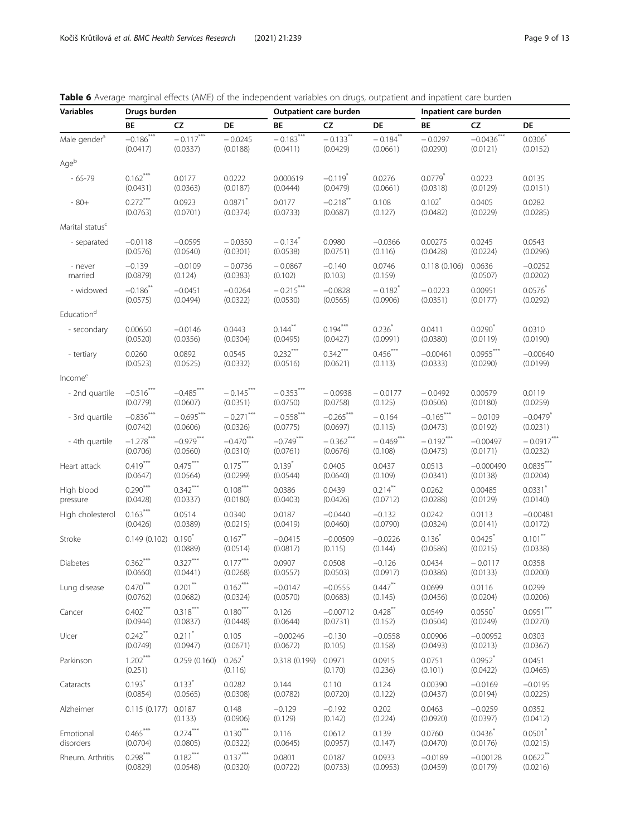| <b>Variables</b>            | Drugs burden          |                         |                                 | Outpatient care burden |                       |                       | Inpatient care burden   |                        |                        |
|-----------------------------|-----------------------|-------------------------|---------------------------------|------------------------|-----------------------|-----------------------|-------------------------|------------------------|------------------------|
|                             | BE                    | <b>CZ</b>               | DE                              | BE                     | ${\sf CZ}$            | DE                    | BE                      | <b>CZ</b>              | DE                     |
| Male gender <sup>a</sup>    | $-0.186$ ***          | $-0.117***$             | $-0.0245$                       | $-0.183***$            | $-0.133**$            | $-0.184$ **           | $-0.0297$               | $-0.0436***$           | $0.0306^{*}$           |
|                             | (0.0417)              | (0.0337)                | (0.0188)                        | (0.0411)               | (0.0429)              | (0.0661)              | (0.0290)                | (0.0121)               | (0.0152)               |
| Ageb                        |                       |                         |                                 |                        |                       |                       |                         |                        |                        |
| $-65-79$                    | $0.162***$            | 0.0177                  | 0.0222                          | 0.000619               | $-0.119$ <sup>*</sup> | 0.0276                | $0.0779$ <sup>*</sup>   | 0.0223                 | 0.0135                 |
|                             | (0.0431)              | (0.0363)                | (0.0187)                        | (0.0444)               | (0.0479)              | (0.0661)              | (0.0318)                | (0.0129)               | (0.0151)               |
| $-80+$                      | $0.272***$            | 0.0923                  | 0.0871                          | 0.0177                 | $-0.218$ **           | 0.108                 | 0.102                   | 0.0405                 | 0.0282                 |
|                             | (0.0763)              | (0.0701)                | (0.0374)                        | (0.0733)               | (0.0687)              | (0.127)               | (0.0482)                | (0.0229)               | (0.0285)               |
| Marital status <sup>c</sup> |                       |                         |                                 |                        |                       |                       |                         |                        |                        |
| - separated                 | $-0.0118$             | $-0.0595$               | $-0.0350$                       | $-0.134$ <sup>*</sup>  | 0.0980                | $-0.0366$             | 0.00275                 | 0.0245                 | 0.0543                 |
|                             | (0.0576)              | (0.0540)                | (0.0301)                        | (0.0538)               | (0.0751)              | (0.116)               | (0.0428)                | (0.0224)               | (0.0296)               |
| - never                     | $-0.139$              | $-0.0109$               | $-0.0736$                       | $-0.0867$              | $-0.140$              | 0.0746                | 0.118(0.106)            | 0.0636                 | $-0.0252$              |
| married                     | (0.0879)              | (0.124)                 | (0.0383)                        | (0.102)                | (0.103)               | (0.159)               |                         | (0.0507)               | (0.0202)               |
| - widowed                   | $-0.186$ **           | $-0.0451$               | $-0.0264$                       | $-0.215***$            | $-0.0828$             | $-0.182$ <sup>*</sup> | $-0.0223$               | 0.00951                | $0.0576*$              |
|                             | (0.0575)              | (0.0494)                | (0.0322)                        | (0.0530)               | (0.0565)              | (0.0906)              | (0.0351)                | (0.0177)               | (0.0292)               |
| Education <sup>d</sup>      |                       |                         |                                 |                        |                       |                       |                         |                        |                        |
| - secondary                 | 0.00650               | $-0.0146$               | 0.0443                          | $0.144$ **             | $0.194***$            | $0.236^{*}$           | 0.0411                  | 0.0290                 | 0.0310                 |
|                             | (0.0520)              | (0.0356)                | (0.0304)                        | (0.0495)               | (0.0427)              | (0.0991)              | (0.0380)                | (0.0119)               | (0.0190)               |
| - tertiary                  | 0.0260                | 0.0892                  | 0.0545                          | $0.232***$             | $0.342***$            | $0.456***$            | $-0.00461$              | $0.0955***$            | $-0.00640$             |
|                             | (0.0523)              | (0.0525)                | (0.0332)                        | (0.0516)               | (0.0621)              | (0.113)               | (0.0333)                | (0.0290)               | (0.0199)               |
| Income <sup>e</sup>         |                       |                         |                                 |                        |                       |                       |                         |                        |                        |
| - 2nd quartile              | $-0.516$ ***          | $-0.485***$             | $-0.145***$                     | $-0.353***$            | $-0.0938$             | $-0.0177$             | $-0.0492$               | 0.00579                | 0.0119                 |
|                             | (0.0779)              | (0.0607)                | (0.0351)                        | (0.0750)               | (0.0758)              | (0.125)               | (0.0506)                | (0.0180)               | (0.0259)               |
| - 3rd quartile              | $-0.836$ ***          | $-0.695***$             | $-0.271***$                     | $-0.558***$            | $-0.265***$           | $-0.164$              | $-0.165***$             | $-0.0109$              | $-0.0479$ <sup>*</sup> |
|                             | (0.0742)              | (0.0606)                | (0.0326)                        | (0.0775)               | (0.0697)              | (0.115)               | (0.0473)                | (0.0192)               | (0.0231)               |
| - 4th quartile              | $-1.278***$           | $-0.979***$             | $-0.470***$                     | $-0.749***$            | $-0.362$ ***          | $-0.469***$           | $-0.192***$             | $-0.00497$             | $-0.0917***$           |
|                             | (0.0706)              | (0.0560)                | (0.0310)                        | (0.0761)               | (0.0676)              | (0.108)               | (0.0473)                | (0.0171)               | (0.0232)               |
| Heart attack                | $0.419***$            | $0.475***$              | $0.175***$                      | $0.139^{*}$            | 0.0405                | 0.0437                | 0.0513                  | $-0.000490$            | $0.0835***$            |
|                             | (0.0647)              | (0.0564)                | (0.0299)                        | (0.0544)               | (0.0640)              | (0.109)               | (0.0341)                | (0.0138)               | (0.0204)               |
| High blood                  | $0.290***$            | $0.342***$              | $0.108***$                      | 0.0386                 | 0.0439                | $0.214$ **            | 0.0262                  | 0.00485                | $0.0331$ <sup>*</sup>  |
| pressure                    | (0.0428)              | (0.0337)                | (0.0180)                        | (0.0403)               | (0.0426)              | (0.0712)              | (0.0288)                | (0.0129)               | (0.0140)               |
| High cholesterol            | $0.163***$            | 0.0514                  | 0.0340                          | 0.0187                 | $-0.0440$             | $-0.132$              | 0.0242                  | 0.0113                 | $-0.00481$             |
|                             | (0.0426)              | (0.0389)                | (0.0215)                        | (0.0419)               | (0.0460)              | (0.0790)              | (0.0324)                | (0.0141)               | (0.0172)               |
| Stroke                      | 0.149(0.102)          | $0.190^{*}$<br>(0.0889) | $0.167***$<br>(0.0514)          | $-0.0415$<br>(0.0817)  | $-0.00509$<br>(0.115) | $-0.0226$<br>(0.144)  | $0.136^{*}$<br>(0.0586) | 0.0425<br>(0.0215)     | $0.101$ **<br>(0.0338) |
| Diabetes                    | $0.362***$            | $0.327***$              | $0.177***$                      | 0.0907                 | 0.0508                | $-0.126$              | 0.0434                  | $-0.0117$              | 0.0358                 |
|                             | (0.0660)              | (0.0441)                | (0.0268)                        | (0.0557)               | (0.0503)              | (0.0917)              | (0.0386)                | (0.0133)               | (0.0200)               |
| Lung disease                | $0.470***$            | $0.201$ <sup>**</sup>   | $0.162***$                      | $-0.0147$              | $-0.0555$             | $0.447***$            | 0.0699                  | 0.0116                 | 0.0299                 |
|                             | (0.0762)              | (0.0682)                | (0.0324)                        | (0.0570)               | (0.0683)              | (0.145)               | (0.0456)                | (0.0204)               | (0.0206)               |
| Cancer                      | $0.402***$            | $0.318***$              | $0.180***$                      | 0.126                  | $-0.00712$            | $0.428$ **            | 0.0549                  | $0.0550^*$             | $0.0951***$            |
|                             | (0.0944)              | (0.0837)                | (0.0448)                        | (0.0644)               | (0.0731)              | (0.152)               | (0.0504)                | (0.0249)               | (0.0270)               |
| Ulcer                       | $0.242$ **            | $0.211$ <sup>*</sup>    | 0.105                           | $-0.00246$             | $-0.130$              | $-0.0558$             | 0.00906                 | $-0.00952$             | 0.0303                 |
|                             | (0.0749)              | (0.0947)                | (0.0671)                        | (0.0672)               | (0.105)               | (0.158)               | (0.0493)                | (0.0213)               | (0.0367)               |
| Parkinson                   | $1.202***$<br>(0.251) | 0.259(0.160)            | $0.262$ <sup>*</sup><br>(0.116) | 0.318 (0.199)          | 0.0971<br>(0.170)     | 0.0915<br>(0.236)     | 0.0751<br>(0.101)       | $0.0952$ *<br>(0.0422) | 0.0451<br>(0.0465)     |
| Cataracts                   | $0.193*$              | $0.133*$                | 0.0282                          | 0.144                  | 0.110                 | 0.124                 | 0.00390                 | $-0.0169$              | $-0.0195$              |
|                             | (0.0854)              | (0.0565)                | (0.0308)                        | (0.0782)               | (0.0720)              | (0.122)               | (0.0437)                | (0.0194)               | (0.0225)               |
| Alzheimer                   | 0.115(0.177)          | 0.0187<br>(0.133)       | 0.148<br>(0.0906)               | $-0.129$<br>(0.129)    | $-0.192$<br>(0.142)   | 0.202<br>(0.224)      | 0.0463<br>(0.0920)      | $-0.0259$<br>(0.0397)  | 0.0352<br>(0.0412)     |
| Emotional                   | $0.465***$            | $0.274***$              | $0.130***$                      | 0.116                  | 0.0612                | 0.139                 | 0.0760                  | $0.0436*$              | 0.0501                 |
| disorders                   | (0.0704)              | (0.0805)                | (0.0322)                        | (0.0645)               | (0.0957)              | (0.147)               | (0.0470)                | (0.0176)               | (0.0215)               |
| Rheum. Arthritis            | $0.298***$            | $0.182***$              | $0.137***$                      | 0.0801                 | 0.0187                | 0.0933                | $-0.0189$               | $-0.00128$             | $0.0622$ **            |
|                             | (0.0829)              | (0.0548)                | (0.0320)                        | (0.0722)               | (0.0733)              | (0.0953)              | (0.0459)                | (0.0179)               | (0.0216)               |

<span id="page-8-0"></span>Table 6 Average marginal effects (AME) of the independent variables on drugs, outpatient and inpatient care burden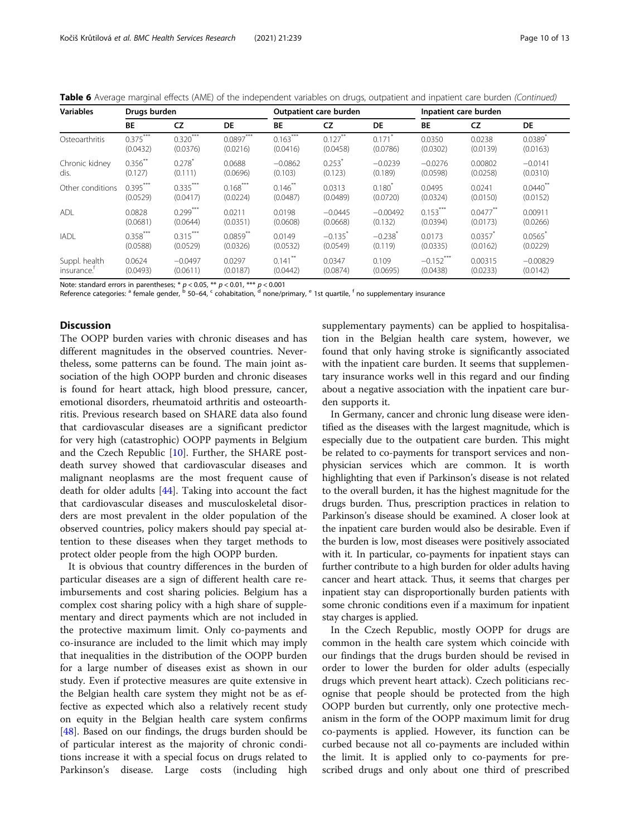| <b>Variables</b>        | Drugs burden |                      |             | Outpatient care burden |                       |                       | Inpatient care burden   |                       |                        |
|-------------------------|--------------|----------------------|-------------|------------------------|-----------------------|-----------------------|-------------------------|-----------------------|------------------------|
|                         | <b>BE</b>    | <b>CZ</b>            | DE          | BE                     | <b>CZ</b>             | <b>DE</b>             | <b>BE</b>               | CZ                    | <b>DE</b>              |
| Osteoarthritis          | $0.375***$   | $0.320***$           | $0.0897***$ | $0.163***$             | $0.127***$            | $0.171$ <sup>*</sup>  | 0.0350                  | 0.0238                | 0.0389                 |
|                         | (0.0432)     | (0.0376)             | (0.0216)    | (0.0416)               | (0.0458)              | (0.0786)              | (0.0302)                | (0.0139)              | (0.0163)               |
| Chronic kidney          | $0.356$ **   | $0.278$ <sup>*</sup> | 0.0688      | $-0.0862$              | 0.253                 | $-0.0239$             | $-0.0276$               | 0.00802               | $-0.0141$              |
| dis.                    | (0.127)      | (0.111)              | (0.0696)    | (0.103)                | (0.123)               | (0.189)               | (0.0598)                | (0.0258)              | (0.0310)               |
| Other conditions        | $0.395***$   | $0.335***$           | $0.168***$  | $0.146$ <sup>**</sup>  | 0.0313                | $0.180^{*}$           | 0.0495                  | 0.0241                | $0.0440$ <sup>**</sup> |
|                         | (0.0529)     | (0.0417)             | (0.0224)    | (0.0487)               | (0.0489)              | (0.0720)              | (0.0324)                | (0.0150)              | (0.0152)               |
| ADL                     | 0.0828       | $0.299***$           | 0.0211      | 0.0198                 | $-0.0445$             | $-0.00492$            | $0.153***$              | $0.0477$ **           | 0.00911                |
|                         | (0.0681)     | (0.0644)             | (0.0351)    | (0.0608)               | (0.0668)              | (0.132)               | (0.0394)                | (0.0173)              | (0.0266)               |
| <b>IADL</b>             | $0.358***$   | $0.315***$           | $0.0859**$  | 0.0149                 | $-0.135$ <sup>*</sup> | $-0.238$ <sup>*</sup> | 0.0173                  | $0.0357$ <sup>*</sup> | $0.0565$ <sup>*</sup>  |
|                         | (0.0588)     | (0.0529)             | (0.0326)    | (0.0532)               | (0.0549)              | (0.119)               | (0.0335)                | (0.0162)              | (0.0229)               |
| Suppl. health           | 0.0624       | $-0.0497$            | 0.0297      | $0.141$ <sup>**</sup>  | 0.0347                | 0.109                 | $-0.152$ <sup>***</sup> | 0.00315               | $-0.00829$             |
| insurance. <sup>†</sup> | (0.0493)     | (0.0611)             | (0.0187)    | (0.0442)               | (0.0874)              | (0.0695)              | (0.0438)                | (0.0233)              | (0.0142)               |

Table 6 Average marginal effects (AME) of the independent variables on drugs, outpatient and inpatient care burden (Continued)

Note: standard errors in parentheses;  $* p < 0.05$ ,  $** p < 0.01$ ,  $*** p < 0.001$ 

Reference categories: <sup>a</sup> female gender,  $^{\rm b}$  50–64,  $^{\rm c}$  cohabitation, <sup>d</sup> none/primary,  $^{\rm e}$  1st quartile, <sup>f</sup> no supplementary insurance

# **Discussion**

The OOPP burden varies with chronic diseases and has different magnitudes in the observed countries. Nevertheless, some patterns can be found. The main joint association of the high OOPP burden and chronic diseases is found for heart attack, high blood pressure, cancer, emotional disorders, rheumatoid arthritis and osteoarthritis. Previous research based on SHARE data also found that cardiovascular diseases are a significant predictor for very high (catastrophic) OOPP payments in Belgium and the Czech Republic [\[10\]](#page-12-0). Further, the SHARE postdeath survey showed that cardiovascular diseases and malignant neoplasms are the most frequent cause of death for older adults [\[44](#page-12-0)]. Taking into account the fact that cardiovascular diseases and musculoskeletal disorders are most prevalent in the older population of the observed countries, policy makers should pay special attention to these diseases when they target methods to protect older people from the high OOPP burden.

It is obvious that country differences in the burden of particular diseases are a sign of different health care reimbursements and cost sharing policies. Belgium has a complex cost sharing policy with a high share of supplementary and direct payments which are not included in the protective maximum limit. Only co-payments and co-insurance are included to the limit which may imply that inequalities in the distribution of the OOPP burden for a large number of diseases exist as shown in our study. Even if protective measures are quite extensive in the Belgian health care system they might not be as effective as expected which also a relatively recent study on equity in the Belgian health care system confirms [[48\]](#page-12-0). Based on our findings, the drugs burden should be of particular interest as the majority of chronic conditions increase it with a special focus on drugs related to Parkinson's disease. Large costs (including high

supplementary payments) can be applied to hospitalisation in the Belgian health care system, however, we found that only having stroke is significantly associated with the inpatient care burden. It seems that supplementary insurance works well in this regard and our finding about a negative association with the inpatient care burden supports it.

In Germany, cancer and chronic lung disease were identified as the diseases with the largest magnitude, which is especially due to the outpatient care burden. This might be related to co-payments for transport services and nonphysician services which are common. It is worth highlighting that even if Parkinson's disease is not related to the overall burden, it has the highest magnitude for the drugs burden. Thus, prescription practices in relation to Parkinson's disease should be examined. A closer look at the inpatient care burden would also be desirable. Even if the burden is low, most diseases were positively associated with it. In particular, co-payments for inpatient stays can further contribute to a high burden for older adults having cancer and heart attack. Thus, it seems that charges per inpatient stay can disproportionally burden patients with some chronic conditions even if a maximum for inpatient stay charges is applied.

In the Czech Republic, mostly OOPP for drugs are common in the health care system which coincide with our findings that the drugs burden should be revised in order to lower the burden for older adults (especially drugs which prevent heart attack). Czech politicians recognise that people should be protected from the high OOPP burden but currently, only one protective mechanism in the form of the OOPP maximum limit for drug co-payments is applied. However, its function can be curbed because not all co-payments are included within the limit. It is applied only to co-payments for prescribed drugs and only about one third of prescribed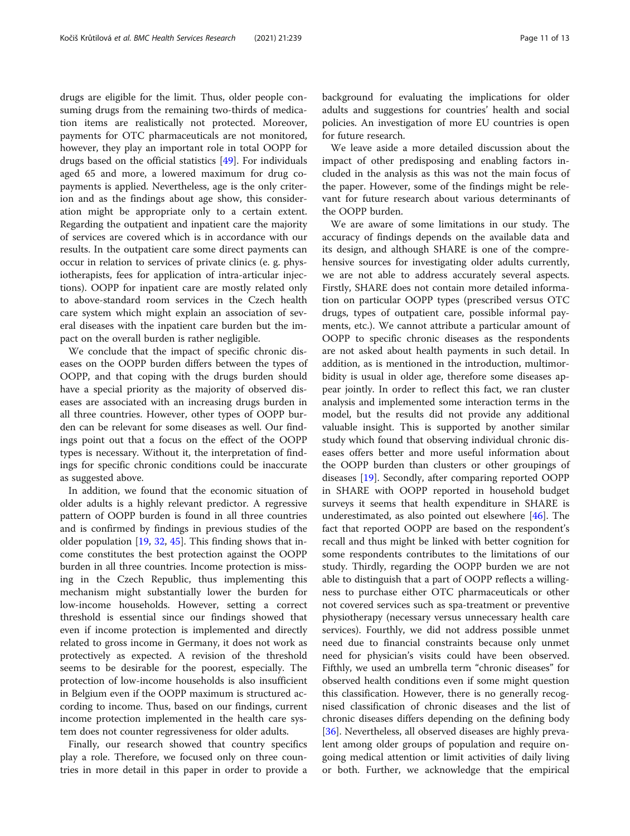drugs are eligible for the limit. Thus, older people consuming drugs from the remaining two-thirds of medication items are realistically not protected. Moreover, payments for OTC pharmaceuticals are not monitored, however, they play an important role in total OOPP for drugs based on the official statistics [[49\]](#page-12-0). For individuals aged 65 and more, a lowered maximum for drug copayments is applied. Nevertheless, age is the only criterion and as the findings about age show, this consideration might be appropriate only to a certain extent. Regarding the outpatient and inpatient care the majority of services are covered which is in accordance with our results. In the outpatient care some direct payments can occur in relation to services of private clinics (e. g. physiotherapists, fees for application of intra-articular injections). OOPP for inpatient care are mostly related only to above-standard room services in the Czech health care system which might explain an association of several diseases with the inpatient care burden but the impact on the overall burden is rather negligible.

We conclude that the impact of specific chronic diseases on the OOPP burden differs between the types of OOPP, and that coping with the drugs burden should have a special priority as the majority of observed diseases are associated with an increasing drugs burden in all three countries. However, other types of OOPP burden can be relevant for some diseases as well. Our findings point out that a focus on the effect of the OOPP types is necessary. Without it, the interpretation of findings for specific chronic conditions could be inaccurate as suggested above.

In addition, we found that the economic situation of older adults is a highly relevant predictor. A regressive pattern of OOPP burden is found in all three countries and is confirmed by findings in previous studies of the older population [[19,](#page-12-0) [32,](#page-12-0) [45\]](#page-12-0). This finding shows that income constitutes the best protection against the OOPP burden in all three countries. Income protection is missing in the Czech Republic, thus implementing this mechanism might substantially lower the burden for low-income households. However, setting a correct threshold is essential since our findings showed that even if income protection is implemented and directly related to gross income in Germany, it does not work as protectively as expected. A revision of the threshold seems to be desirable for the poorest, especially. The protection of low-income households is also insufficient in Belgium even if the OOPP maximum is structured according to income. Thus, based on our findings, current income protection implemented in the health care system does not counter regressiveness for older adults.

Finally, our research showed that country specifics play a role. Therefore, we focused only on three countries in more detail in this paper in order to provide a background for evaluating the implications for older adults and suggestions for countries' health and social policies. An investigation of more EU countries is open for future research.

We leave aside a more detailed discussion about the impact of other predisposing and enabling factors included in the analysis as this was not the main focus of the paper. However, some of the findings might be relevant for future research about various determinants of the OOPP burden.

We are aware of some limitations in our study. The accuracy of findings depends on the available data and its design, and although SHARE is one of the comprehensive sources for investigating older adults currently, we are not able to address accurately several aspects. Firstly, SHARE does not contain more detailed information on particular OOPP types (prescribed versus OTC drugs, types of outpatient care, possible informal payments, etc.). We cannot attribute a particular amount of OOPP to specific chronic diseases as the respondents are not asked about health payments in such detail. In addition, as is mentioned in the introduction, multimorbidity is usual in older age, therefore some diseases appear jointly. In order to reflect this fact, we ran cluster analysis and implemented some interaction terms in the model, but the results did not provide any additional valuable insight. This is supported by another similar study which found that observing individual chronic diseases offers better and more useful information about the OOPP burden than clusters or other groupings of diseases [[19\]](#page-12-0). Secondly, after comparing reported OOPP in SHARE with OOPP reported in household budget surveys it seems that health expenditure in SHARE is underestimated, as also pointed out elsewhere [[46](#page-12-0)]. The fact that reported OOPP are based on the respondent's recall and thus might be linked with better cognition for some respondents contributes to the limitations of our study. Thirdly, regarding the OOPP burden we are not able to distinguish that a part of OOPP reflects a willingness to purchase either OTC pharmaceuticals or other not covered services such as spa-treatment or preventive physiotherapy (necessary versus unnecessary health care services). Fourthly, we did not address possible unmet need due to financial constraints because only unmet need for physician's visits could have been observed. Fifthly, we used an umbrella term "chronic diseases" for observed health conditions even if some might question this classification. However, there is no generally recognised classification of chronic diseases and the list of chronic diseases differs depending on the defining body [[36\]](#page-12-0). Nevertheless, all observed diseases are highly prevalent among older groups of population and require ongoing medical attention or limit activities of daily living or both. Further, we acknowledge that the empirical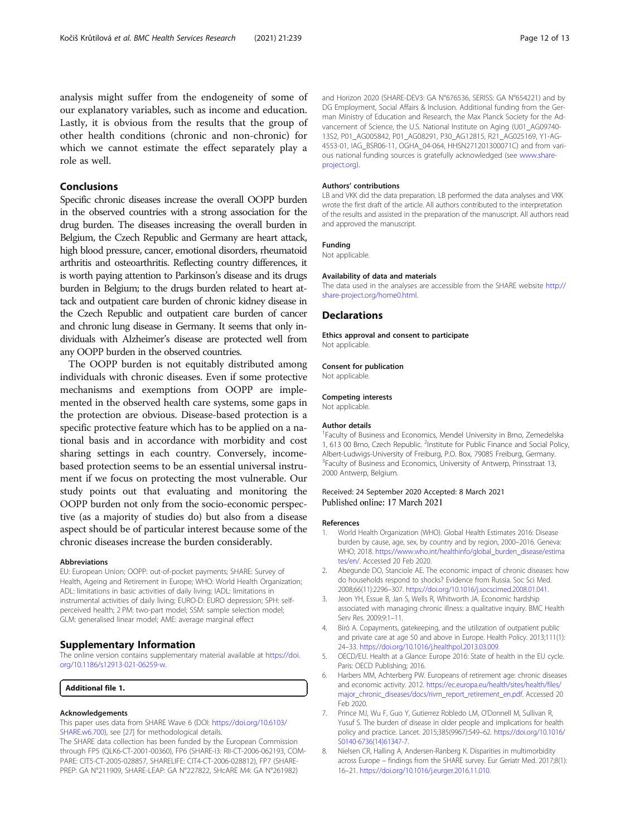<span id="page-11-0"></span>analysis might suffer from the endogeneity of some of our explanatory variables, such as income and education. Lastly, it is obvious from the results that the group of other health conditions (chronic and non-chronic) for which we cannot estimate the effect separately play a role as well.

# Conclusions

Specific chronic diseases increase the overall OOPP burden in the observed countries with a strong association for the drug burden. The diseases increasing the overall burden in Belgium, the Czech Republic and Germany are heart attack, high blood pressure, cancer, emotional disorders, rheumatoid arthritis and osteoarthritis. Reflecting country differences, it is worth paying attention to Parkinson's disease and its drugs burden in Belgium; to the drugs burden related to heart attack and outpatient care burden of chronic kidney disease in the Czech Republic and outpatient care burden of cancer and chronic lung disease in Germany. It seems that only individuals with Alzheimer's disease are protected well from any OOPP burden in the observed countries.

The OOPP burden is not equitably distributed among individuals with chronic diseases. Even if some protective mechanisms and exemptions from OOPP are implemented in the observed health care systems, some gaps in the protection are obvious. Disease-based protection is a specific protective feature which has to be applied on a national basis and in accordance with morbidity and cost sharing settings in each country. Conversely, incomebased protection seems to be an essential universal instrument if we focus on protecting the most vulnerable. Our study points out that evaluating and monitoring the OOPP burden not only from the socio-economic perspective (as a majority of studies do) but also from a disease aspect should be of particular interest because some of the chronic diseases increase the burden considerably.

## Abbreviations

EU: European Union; OOPP: out-of-pocket payments; SHARE: Survey of Health, Ageing and Retirement in Europe; WHO: World Health Organization; ADL: limitations in basic activities of daily living; IADL: limitations in instrumental activities of daily living; EURO-D: EURO depression; SPH: selfperceived health; 2 PM: two-part model; SSM: sample selection model; GLM: generalised linear model; AME: average marginal effect

# Supplementary Information

The online version contains supplementary material available at [https://doi.](https://doi.org/10.1186/s12913-021-06259-w) [org/10.1186/s12913-021-06259-w](https://doi.org/10.1186/s12913-021-06259-w).

#### Additional file 1.

## Acknowledgements

This paper uses data from SHARE Wave 6 (DOI: [https://doi.org/10.6103/](https://doi.org/10.6103/SHARE.w6.700) [SHARE.w6.700\)](https://doi.org/10.6103/SHARE.w6.700), see [\[27](#page-12-0)] for methodological details.

The SHARE data collection has been funded by the European Commission through FP5 (QLK6-CT-2001-00360), FP6 (SHARE-I3: RII-CT-2006-062193, COM-PARE: CIT5-CT-2005-028857, SHARELIFE: CIT4-CT-2006-028812), FP7 (SHARE-PREP: GA N°211909, SHARE-LEAP: GA N°227822, SHcARE M4: GA N°261982)

and Horizon 2020 (SHARE-DEV3: GA N°676536, SERISS: GA N°654221) and by DG Employment, Social Affairs & Inclusion. Additional funding from the German Ministry of Education and Research, the Max Planck Society for the Advancement of Science, the U.S. National Institute on Aging (U01\_AG09740- 13S2, P01\_AG005842, P01\_AG08291, P30\_AG12815, R21\_AG025169, Y1-AG-4553-01, IAG\_BSR06-11, OGHA\_04-064, HHSN271201300071C) and from various national funding sources is gratefully acknowledged (see [www.share](http://www.share-project.org)[project.org](http://www.share-project.org)).

## Authors' contributions

LB and VKK did the data preparation. LB performed the data analyses and VKK wrote the first draft of the article. All authors contributed to the interpretation of the results and assisted in the preparation of the manuscript. All authors read and approved the manuscript.

# Funding

Not applicable.

# Availability of data and materials

The data used in the analyses are accessible from the SHARE website [http://](http://share-project.org/home0.html) [share-project.org/home0.html](http://share-project.org/home0.html).

# **Declarations**

#### Ethics approval and consent to participate Not applicable.

Consent for publication

Not applicable.

#### Competing interests

Not applicable.

# Author details

<sup>1</sup> Faculty of Business and Economics, Mendel University in Brno, Zemedelska 1, 613 00 Brno, Czech Republic. <sup>2</sup>Institute for Public Finance and Social Policy Albert-Ludwigs-University of Freiburg, P.O. Box, 79085 Freiburg, Germany. <sup>3</sup> Faculty of Business and Economics, University of Antwerp, Prinsstraat 13 2000 Antwerp, Belgium.

# Received: 24 September 2020 Accepted: 8 March 2021 Published online: 17 March 2021

# References

- 1. World Health Organization (WHO). Global Health Estimates 2016: Disease burden by cause, age, sex, by country and by region, 2000–2016. Geneva: WHO; 2018. [https://www.who.int/healthinfo/global\\_burden\\_disease/estima](https://www.who.int/healthinfo/global_burden_disease/estimates/en/) [tes/en/.](https://www.who.int/healthinfo/global_burden_disease/estimates/en/) Accessed 20 Feb 2020.
- 2. Abegunde DO, Stanciole AE. The economic impact of chronic diseases: how do households respond to shocks? Evidence from Russia. Soc Sci Med. 2008;66(11):2296–307. [https://doi.org/10.1016/j.socscimed.2008.01.041.](https://doi.org/10.1016/j.socscimed.2008.01.041)
- 3. Jeon YH, Essue B, Jan S, Wells R, Whitworth JA. Economic hardship associated with managing chronic illness: a qualitative inquiry. BMC Health Serv Res. 2009;9:1–11.
- 4. Bíró A. Copayments, gatekeeping, and the utilization of outpatient public and private care at age 50 and above in Europe. Health Policy. 2013;111(1): 24–33. <https://doi.org/10.1016/j.healthpol.2013.03.009>.
- 5. OECD/EU. Health at a Glance: Europe 2016: State of health in the EU cycle. Paris: OECD Publishing; 2016.
- 6. Harbers MM, Achterberg PW. Europeans of retirement age: chronic diseases and economic activity. 2012. [https://ec.europa.eu/health/sites/health/files/](https://ec.europa.eu/health/sites/health/files/major_chronic_diseases/docs/rivm_report_retirement_en.pdf) [major\\_chronic\\_diseases/docs/rivm\\_report\\_retirement\\_en.pdf.](https://ec.europa.eu/health/sites/health/files/major_chronic_diseases/docs/rivm_report_retirement_en.pdf) Accessed 20 Feb 2020.
- 7. Prince MJ, Wu F, Guo Y, Gutierrez Robledo LM, O'Donnell M, Sullivan R, Yusuf S. The burden of disease in older people and implications for health policy and practice. Lancet. 2015;385(9967):549–62. [https://doi.org/10.1016/](https://doi.org/10.1016/S0140-6736(14)61347-7) [S0140-6736\(14\)61347-7](https://doi.org/10.1016/S0140-6736(14)61347-7).
- 8. Nielsen CR, Halling A, Andersen-Ranberg K. Disparities in multimorbidity across Europe – findings from the SHARE survey. Eur Geriatr Med. 2017;8(1): 16–21. [https://doi.org/10.1016/j.eurger.2016.11.010.](https://doi.org/10.1016/j.eurger.2016.11.010)